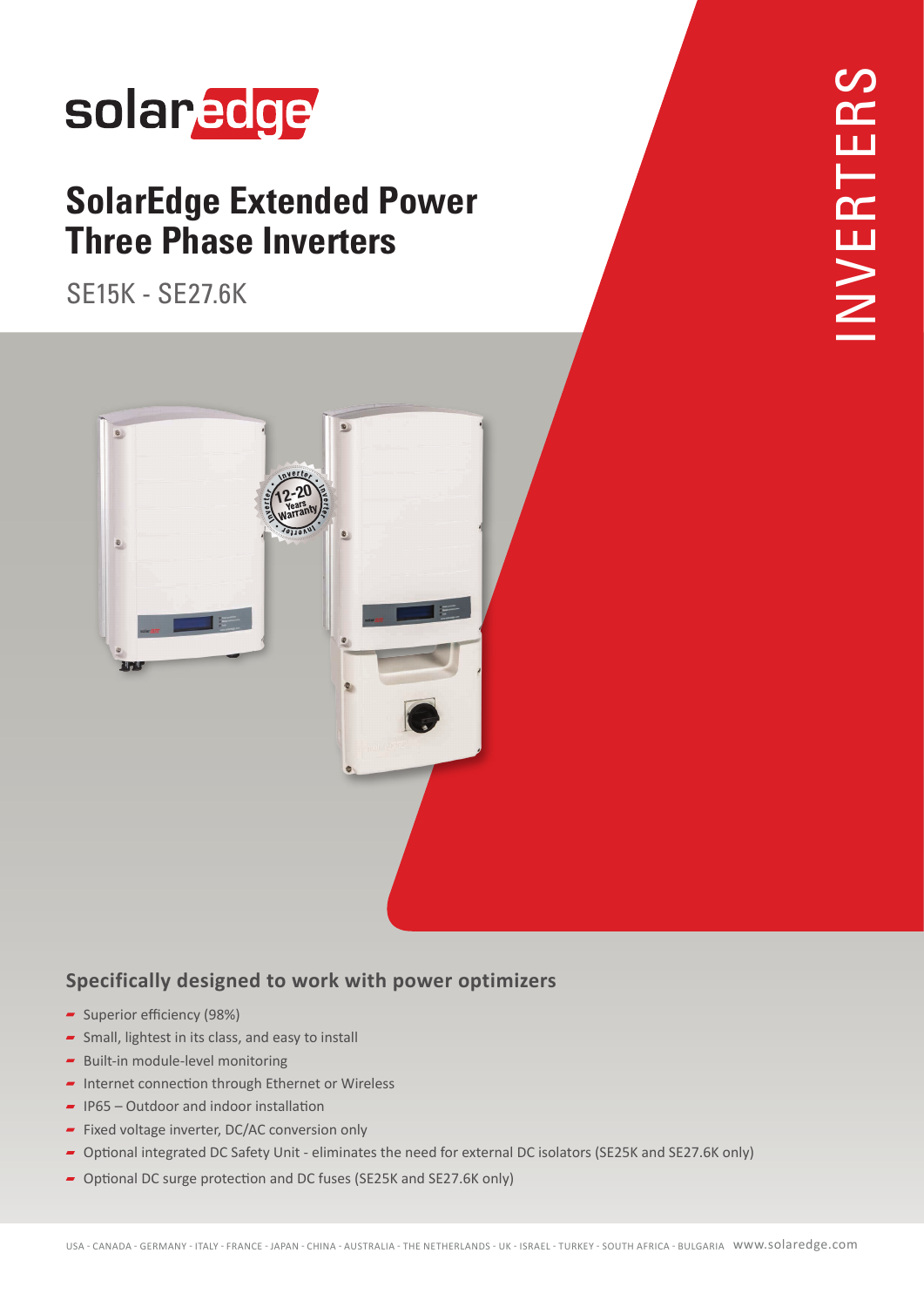## solaredge

## **SolarEdge Extended Power Three Phase Inverters**

SE15K - SE27.6K



### **Specifically designed to work with power optimizers**

- Superior efficiency (98%)
- $\overline{\phantom{a}}$  Small, lightest in its class, and easy to install
- $\blacktriangleright$  Built-in module-level monitoring
- $\blacksquare$  Internet connection through Ethernet or Wireless
- $\blacksquare$  IP65 Outdoor and indoor installation
- $\blacksquare$  Fixed voltage inverter, DC/AC conversion only
- Optional integrated DC Safety Unit eliminates the need for external DC isolators (SE25K and SE27.6K only)
- Optional DC surge protection and DC fuses (SE25K and SE27.6K only)